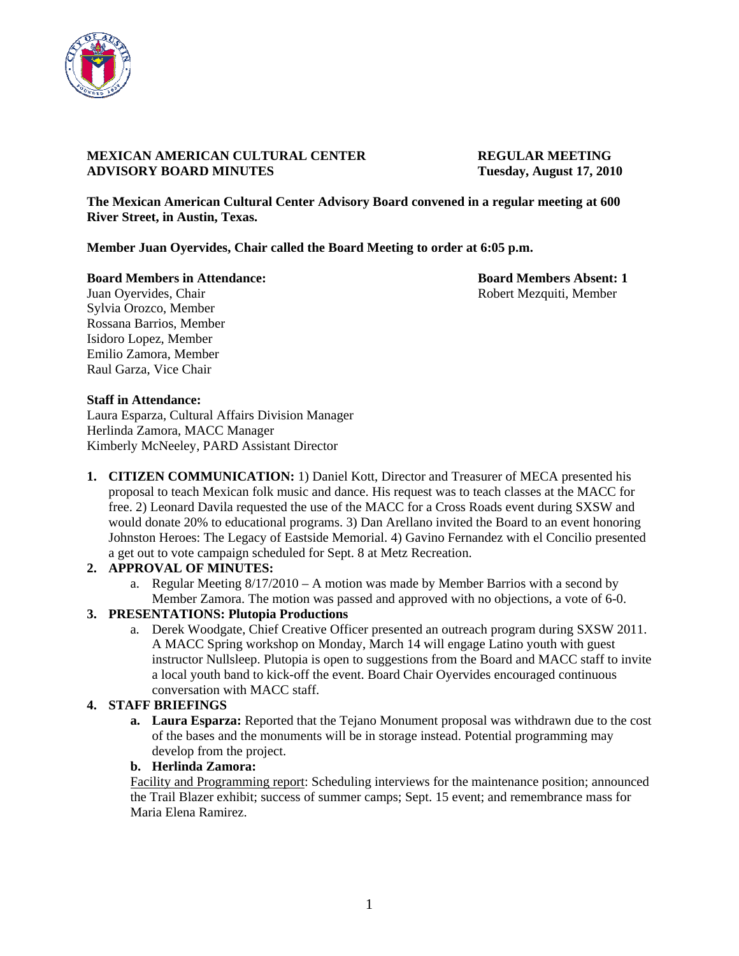

## **MEXICAN AMERICAN CULTURAL CENTER REGULAR MEETING ADVISORY BOARD MINUTES Tuesday, August 17, 2010**

**The Mexican American Cultural Center Advisory Board convened in a regular meeting at 600 River Street, in Austin, Texas.** 

**Member Juan Oyervides, Chair called the Board Meeting to order at 6:05 p.m.** 

**Board Members in Attendance: Board Members Absent: 1** 

Juan Oyervides, Chair **Robert Mezquiti, Member** Robert Mezquiti, Member Sylvia Orozco, Member Rossana Barrios, Member Isidoro Lopez, Member Emilio Zamora, Member Raul Garza, Vice Chair

## **Staff in Attendance:**

Laura Esparza, Cultural Affairs Division Manager Herlinda Zamora, MACC Manager Kimberly McNeeley, PARD Assistant Director

**1. CITIZEN COMMUNICATION:** 1) Daniel Kott, Director and Treasurer of MECA presented his proposal to teach Mexican folk music and dance. His request was to teach classes at the MACC for free. 2) Leonard Davila requested the use of the MACC for a Cross Roads event during SXSW and would donate 20% to educational programs. 3) Dan Arellano invited the Board to an event honoring Johnston Heroes: The Legacy of Eastside Memorial. 4) Gavino Fernandez with el Concilio presented a get out to vote campaign scheduled for Sept. 8 at Metz Recreation.

# **2. APPROVAL OF MINUTES:**

a. Regular Meeting  $8/17/2010 - A$  motion was made by Member Barrios with a second by Member Zamora. The motion was passed and approved with no objections, a vote of 6-0.

# **3. PRESENTATIONS: Plutopia Productions**

a. Derek Woodgate, Chief Creative Officer presented an outreach program during SXSW 2011. A MACC Spring workshop on Monday, March 14 will engage Latino youth with guest instructor Nullsleep. Plutopia is open to suggestions from the Board and MACC staff to invite a local youth band to kick-off the event. Board Chair Oyervides encouraged continuous conversation with MACC staff.

# **4. STAFF BRIEFINGS**

**a. Laura Esparza:** Reported that the Tejano Monument proposal was withdrawn due to the cost of the bases and the monuments will be in storage instead. Potential programming may develop from the project.

#### **b. Herlinda Zamora:**

Facility and Programming report: Scheduling interviews for the maintenance position; announced the Trail Blazer exhibit; success of summer camps; Sept. 15 event; and remembrance mass for Maria Elena Ramirez.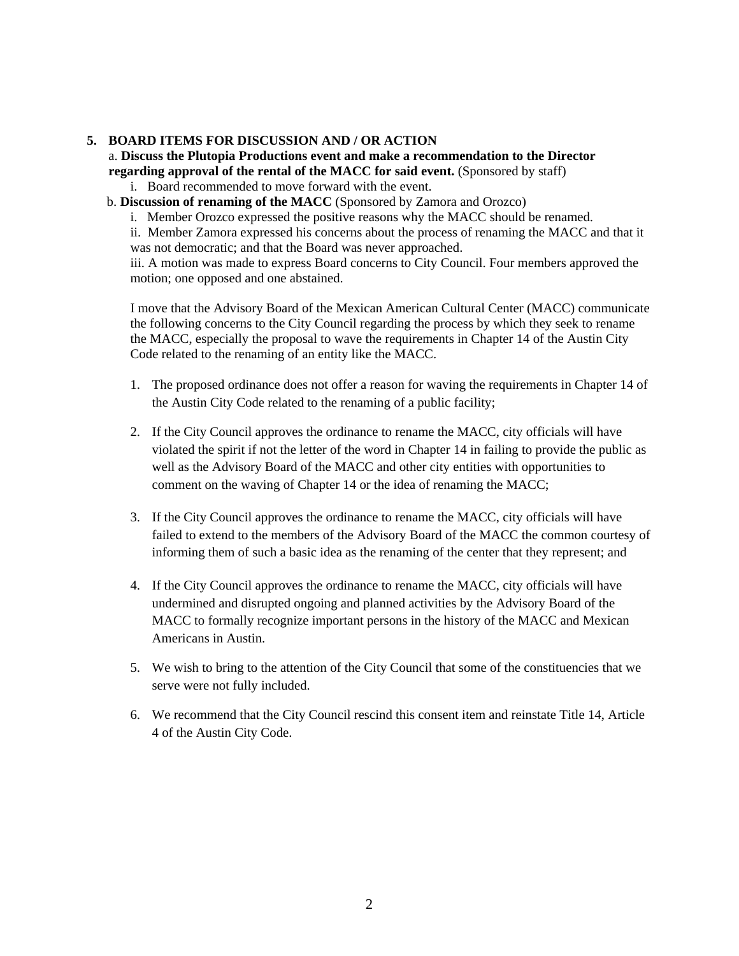## **5. BOARD ITEMS FOR DISCUSSION AND / OR ACTION**

a. **Discuss the Plutopia Productions event and make a recommendation to the Director regarding approval of the rental of the MACC for said event.** (Sponsored by staff)

- i. Board recommended to move forward with the event.
- b. **Discussion of renaming of the MACC** (Sponsored by Zamora and Orozco)
	- i. Member Orozco expressed the positive reasons why the MACC should be renamed.

ii. Member Zamora expressed his concerns about the process of renaming the MACC and that it was not democratic; and that the Board was never approached.

iii. A motion was made to express Board concerns to City Council. Four members approved the motion; one opposed and one abstained.

I move that the Advisory Board of the Mexican American Cultural Center (MACC) communicate the following concerns to the City Council regarding the process by which they seek to rename the MACC, especially the proposal to wave the requirements in Chapter 14 of the Austin City Code related to the renaming of an entity like the MACC.

- 1. The proposed ordinance does not offer a reason for waving the requirements in Chapter 14 of the Austin City Code related to the renaming of a public facility;
- 2. If the City Council approves the ordinance to rename the MACC, city officials will have violated the spirit if not the letter of the word in Chapter 14 in failing to provide the public as well as the Advisory Board of the MACC and other city entities with opportunities to comment on the waving of Chapter 14 or the idea of renaming the MACC;
- 3. If the City Council approves the ordinance to rename the MACC, city officials will have failed to extend to the members of the Advisory Board of the MACC the common courtesy of informing them of such a basic idea as the renaming of the center that they represent; and
- 4. If the City Council approves the ordinance to rename the MACC, city officials will have undermined and disrupted ongoing and planned activities by the Advisory Board of the MACC to formally recognize important persons in the history of the MACC and Mexican Americans in Austin.
- 5. We wish to bring to the attention of the City Council that some of the constituencies that we serve were not fully included.
- 6. We recommend that the City Council rescind this consent item and reinstate Title 14, Article 4 of the Austin City Code.